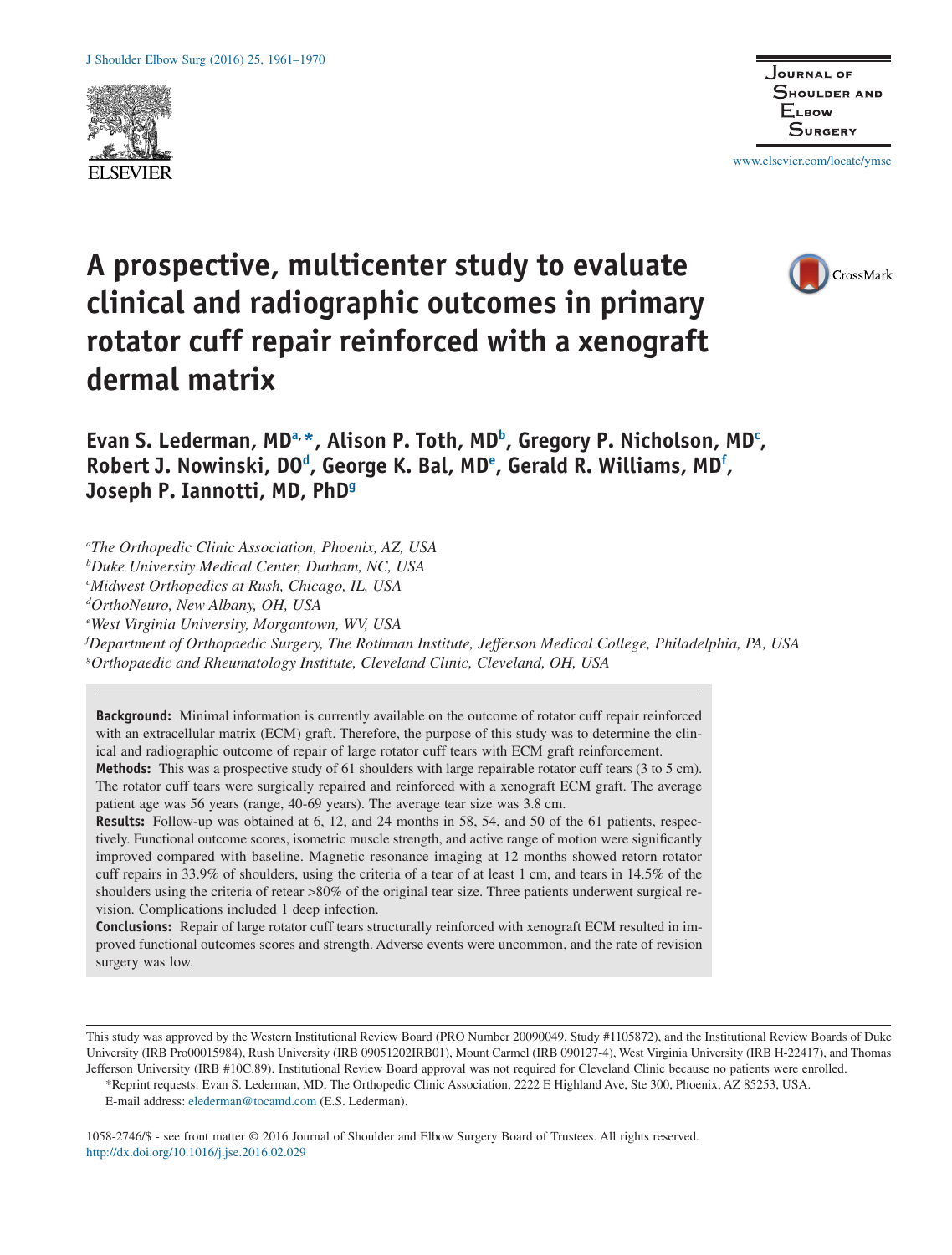



www.elsevier.com/locate/ymse

# CrossMark

# **A prospective, multicenter study to evaluate clinical and radiographic outcomes in primary rotator cuff repair reinforced with a xenograft dermal matrix**

Evan S. Lederman, MD<sup>a,\*</sup>, Alison P. Toth, MD<sup>b</sup>, Gregory P. Nicholson, MD<sup>c</sup>, **Robert J. Nowinski, DOd , George K. Bal, MDe , Gerald R. Williams, MDf , Joseph P. Iannotti, MD, PhDg**

*a The Orthopedic Clinic Association, Phoenix, AZ, USA*

*b Duke University Medical Center, Durham, NC, USA*

*c Midwest Orthopedics at Rush, Chicago, IL, USA*

*d OrthoNeuro, New Albany, OH, USA*

*e West Virginia University, Morgantown, WV, USA*

*f Department of Orthopaedic Surgery, The Rothman Institute, Jefferson Medical College, Philadelphia, PA, USA g Orthopaedic and Rheumatology Institute, Cleveland Clinic, Cleveland, OH, USA*

**Background:** Minimal information is currently available on the outcome of rotator cuff repair reinforced with an extracellular matrix (ECM) graft. Therefore, the purpose of this study was to determine the clinical and radiographic outcome of repair of large rotator cuff tears with ECM graft reinforcement. **Methods:** This was a prospective study of 61 shoulders with large repairable rotator cuff tears (3 to 5 cm).

The rotator cuff tears were surgically repaired and reinforced with a xenograft ECM graft. The average patient age was 56 years (range, 40-69 years). The average tear size was 3.8 cm.

**Results:** Follow-up was obtained at 6, 12, and 24 months in 58, 54, and 50 of the 61 patients, respectively. Functional outcome scores, isometric muscle strength, and active range of motion were significantly improved compared with baseline. Magnetic resonance imaging at 12 months showed retorn rotator cuff repairs in 33.9% of shoulders, using the criteria of a tear of at least 1 cm, and tears in 14.5% of the shoulders using the criteria of retear >80% of the original tear size. Three patients underwent surgical revision. Complications included 1 deep infection.

**Conclusions:** Repair of large rotator cuff tears structurally reinforced with xenograft ECM resulted in improved functional outcomes scores and strength. Adverse events were uncommon, and the rate of revision surgery was low.

E-mail address: elederman@tocamd.com (E.S. Lederman).

1058-2746/\$ - see front matter © 2016 Journal of Shoulder and Elbow Surgery Board of Trustees. All rights reserved. http://dx.doi.org/10.1016/j.jse.2016.02.029

This study was approved by the Western Institutional Review Board (PRO Number 20090049, Study #1105872), and the Institutional Review Boards of Duke University (IRB Pro00015984), Rush University (IRB 09051202IRB01), Mount Carmel (IRB 090127-4), West Virginia University (IRB H-22417), and Thomas Jefferson University (IRB #10C.89). Institutional Review Board approval was not required for Cleveland Clinic because no patients were enrolled.

<sup>\*</sup>Reprint requests: Evan S. Lederman, MD, The Orthopedic Clinic Association, 2222 E Highland Ave, Ste 300, Phoenix, AZ 85253, USA.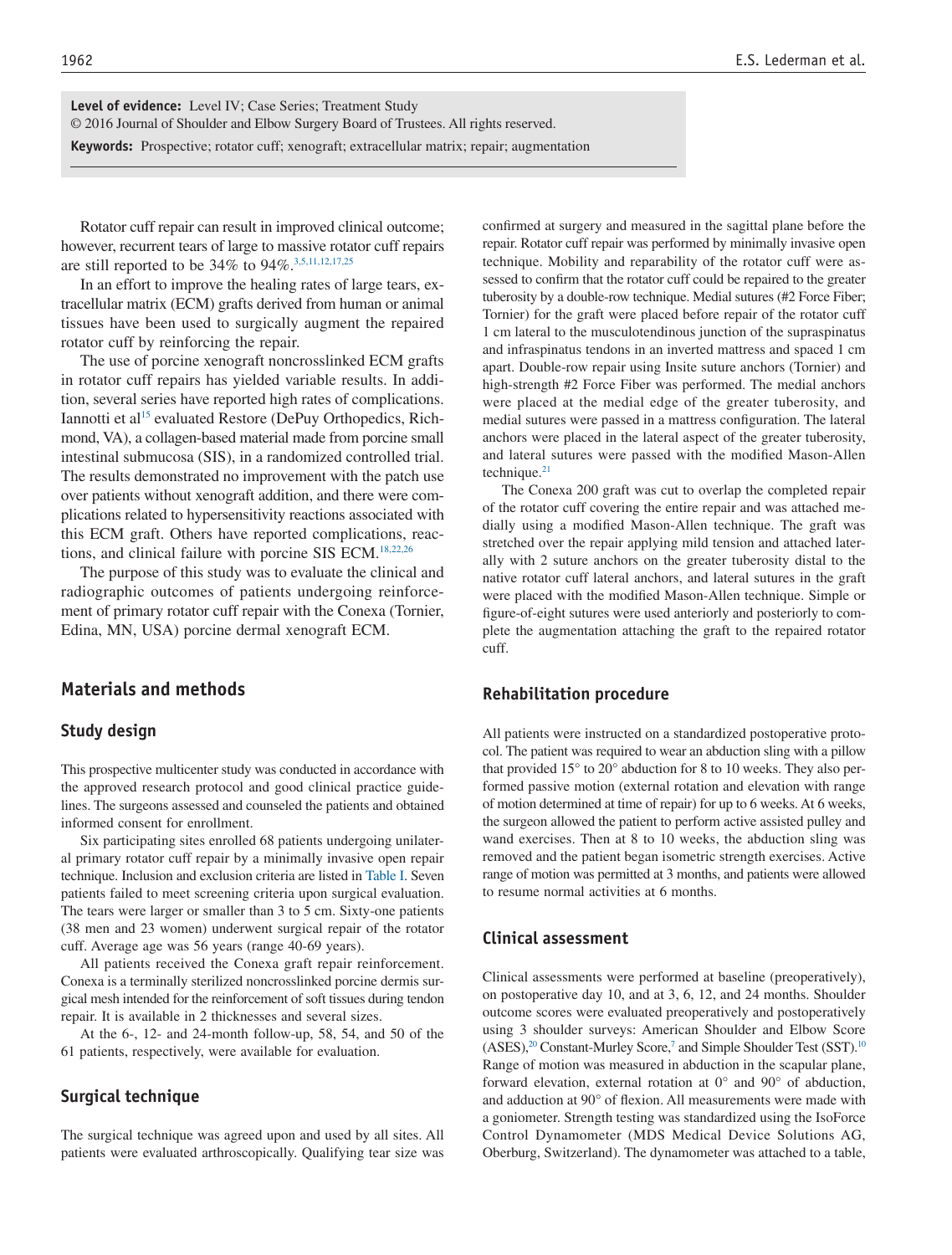**Level of evidence:** Level IV; Case Series; Treatment Study © 2016 Journal of Shoulder and Elbow Surgery Board of Trustees. All rights reserved. **Keywords:** Prospective; rotator cuff; xenograft; extracellular matrix; repair; augmentation

Rotator cuff repair can result in improved clinical outcome; however, recurrent tears of large to massive rotator cuff repairs are still reported to be 34% to 94%.3,5,11,12,17,25

In an effort to improve the healing rates of large tears, extracellular matrix (ECM) grafts derived from human or animal tissues have been used to surgically augment the repaired rotator cuff by reinforcing the repair.

The use of porcine xenograft noncrosslinked ECM grafts in rotator cuff repairs has yielded variable results. In addition, several series have reported high rates of complications. Iannotti et al<sup>15</sup> evaluated Restore (DePuy Orthopedics, Richmond, VA), a collagen-based material made from porcine small intestinal submucosa (SIS), in a randomized controlled trial. The results demonstrated no improvement with the patch use over patients without xenograft addition, and there were complications related to hypersensitivity reactions associated with this ECM graft. Others have reported complications, reactions, and clinical failure with porcine SIS ECM.<sup>18,22,26</sup>

The purpose of this study was to evaluate the clinical and radiographic outcomes of patients undergoing reinforcement of primary rotator cuff repair with the Conexa (Tornier, Edina, MN, USA) porcine dermal xenograft ECM.

# **Materials and methods**

#### **Study design**

This prospective multicenter study was conducted in accordance with the approved research protocol and good clinical practice guidelines. The surgeons assessed and counseled the patients and obtained informed consent for enrollment.

Six participating sites enrolled 68 patients undergoing unilateral primary rotator cuff repair by a minimally invasive open repair technique. Inclusion and exclusion criteria are listed in Table I. Seven patients failed to meet screening criteria upon surgical evaluation. The tears were larger or smaller than 3 to 5 cm. Sixty-one patients (38 men and 23 women) underwent surgical repair of the rotator cuff. Average age was 56 years (range 40-69 years).

All patients received the Conexa graft repair reinforcement. Conexa is a terminally sterilized noncrosslinked porcine dermis surgical mesh intended for the reinforcement of soft tissues during tendon repair. It is available in 2 thicknesses and several sizes.

At the 6-, 12- and 24-month follow-up, 58, 54, and 50 of the 61 patients, respectively, were available for evaluation.

#### **Surgical technique**

The surgical technique was agreed upon and used by all sites. All patients were evaluated arthroscopically. Qualifying tear size was confirmed at surgery and measured in the sagittal plane before the repair. Rotator cuff repair was performed by minimally invasive open technique. Mobility and reparability of the rotator cuff were assessed to confirm that the rotator cuff could be repaired to the greater tuberosity by a double-row technique. Medial sutures (#2 Force Fiber; Tornier) for the graft were placed before repair of the rotator cuff 1 cm lateral to the musculotendinous junction of the supraspinatus and infraspinatus tendons in an inverted mattress and spaced 1 cm apart. Double-row repair using Insite suture anchors (Tornier) and high-strength #2 Force Fiber was performed. The medial anchors were placed at the medial edge of the greater tuberosity, and medial sutures were passed in a mattress configuration. The lateral anchors were placed in the lateral aspect of the greater tuberosity, and lateral sutures were passed with the modified Mason-Allen technique. $21$ 

The Conexa 200 graft was cut to overlap the completed repair of the rotator cuff covering the entire repair and was attached medially using a modified Mason-Allen technique. The graft was stretched over the repair applying mild tension and attached laterally with 2 suture anchors on the greater tuberosity distal to the native rotator cuff lateral anchors, and lateral sutures in the graft were placed with the modified Mason-Allen technique. Simple or figure-of-eight sutures were used anteriorly and posteriorly to complete the augmentation attaching the graft to the repaired rotator cuff.

#### **Rehabilitation procedure**

All patients were instructed on a standardized postoperative protocol. The patient was required to wear an abduction sling with a pillow that provided 15° to 20° abduction for 8 to 10 weeks. They also performed passive motion (external rotation and elevation with range of motion determined at time of repair) for up to 6 weeks. At 6 weeks, the surgeon allowed the patient to perform active assisted pulley and wand exercises. Then at 8 to 10 weeks, the abduction sling was removed and the patient began isometric strength exercises. Active range of motion was permitted at 3 months, and patients were allowed to resume normal activities at 6 months.

# **Clinical assessment**

Clinical assessments were performed at baseline (preoperatively), on postoperative day 10, and at 3, 6, 12, and 24 months. Shoulder outcome scores were evaluated preoperatively and postoperatively using 3 shoulder surveys: American Shoulder and Elbow Score (ASES),<sup>20</sup> Constant-Murley Score,<sup>7</sup> and Simple Shoulder Test (SST).<sup>10</sup> Range of motion was measured in abduction in the scapular plane, forward elevation, external rotation at 0° and 90° of abduction, and adduction at 90° of flexion. All measurements were made with a goniometer. Strength testing was standardized using the IsoForce Control Dynamometer (MDS Medical Device Solutions AG, Oberburg, Switzerland). The dynamometer was attached to a table,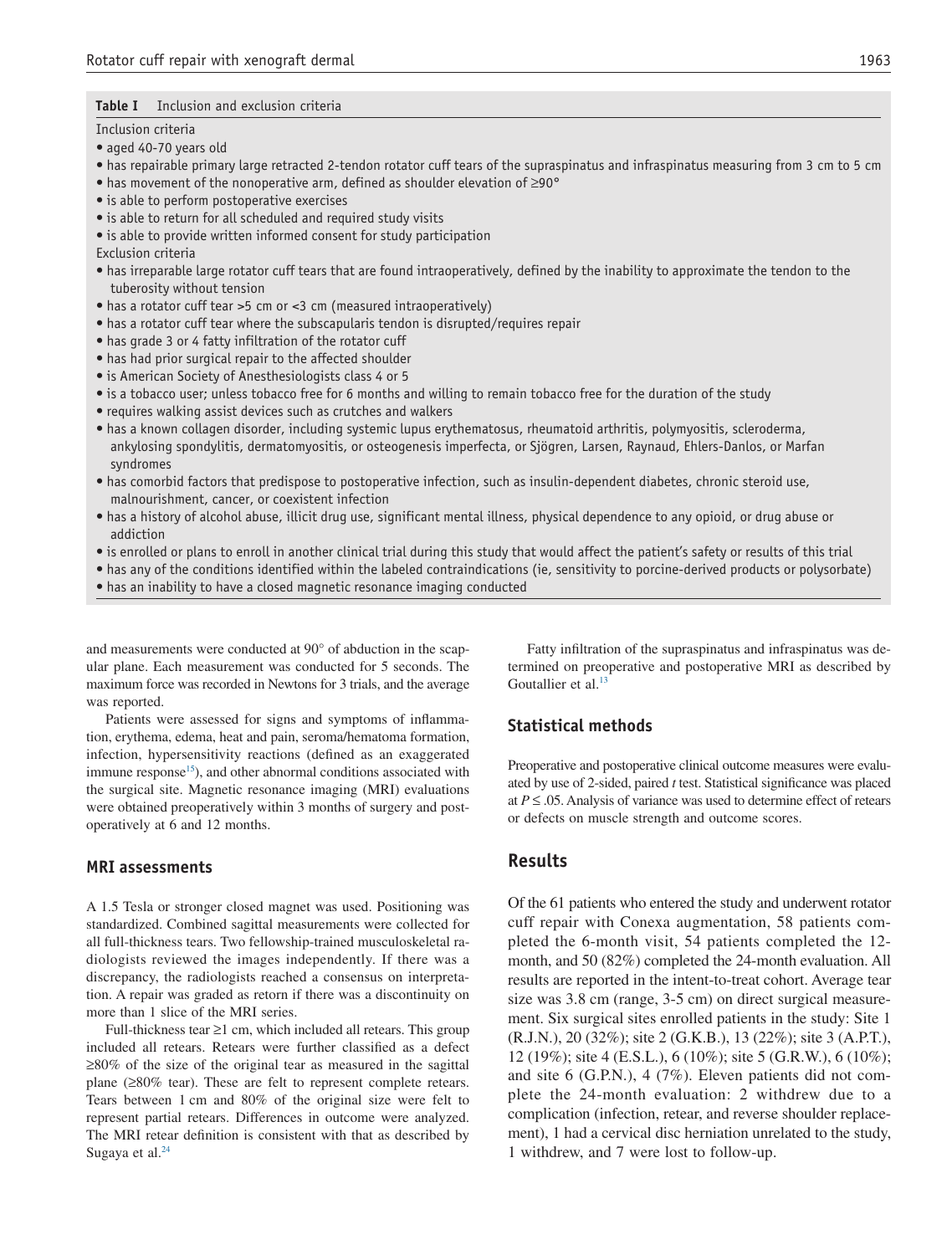#### **Table I** Inclusion and exclusion criteria

Inclusion criteria

- aged 40-70 years old
- has repairable primary large retracted 2-tendon rotator cuff tears of the supraspinatus and infraspinatus measuring from 3 cm to 5 cm
- has movement of the nonoperative arm, defined as shoulder elevation of ≥90°
- is able to perform postoperative exercises
- is able to return for all scheduled and required study visits
- is able to provide written informed consent for study participation

Exclusion criteria

- has irreparable large rotator cuff tears that are found intraoperatively, defined by the inability to approximate the tendon to the tuberosity without tension
- has a rotator cuff tear >5 cm or <3 cm (measured intraoperatively)
- has a rotator cuff tear where the subscapularis tendon is disrupted/requires repair
- has grade 3 or 4 fatty infiltration of the rotator cuff
- has had prior surgical repair to the affected shoulder
- is American Society of Anesthesiologists class 4 or 5
- is a tobacco user; unless tobacco free for 6 months and willing to remain tobacco free for the duration of the study
- requires walking assist devices such as crutches and walkers
- has a known collagen disorder, including systemic lupus erythematosus, rheumatoid arthritis, polymyositis, scleroderma, ankylosing spondylitis, dermatomyositis, or osteogenesis imperfecta, or Sjögren, Larsen, Raynaud, Ehlers-Danlos, or Marfan syndromes
- has comorbid factors that predispose to postoperative infection, such as insulin-dependent diabetes, chronic steroid use, malnourishment, cancer, or coexistent infection
- has a history of alcohol abuse, illicit drug use, significant mental illness, physical dependence to any opioid, or drug abuse or addiction
- is enrolled or plans to enroll in another clinical trial during this study that would affect the patient's safety or results of this trial
- has any of the conditions identified within the labeled contraindications (ie, sensitivity to porcine-derived products or polysorbate)
- has an inability to have a closed magnetic resonance imaging conducted

and measurements were conducted at 90° of abduction in the scapular plane. Each measurement was conducted for 5 seconds. The maximum force was recorded in Newtons for 3 trials, and the average was reported.

Patients were assessed for signs and symptoms of inflammation, erythema, edema, heat and pain, seroma/hematoma formation, infection, hypersensitivity reactions (defined as an exaggerated immune response<sup>15</sup>), and other abnormal conditions associated with the surgical site. Magnetic resonance imaging (MRI) evaluations were obtained preoperatively within 3 months of surgery and postoperatively at 6 and 12 months.

#### **MRI assessments**

A 1.5 Tesla or stronger closed magnet was used. Positioning was standardized. Combined sagittal measurements were collected for all full-thickness tears. Two fellowship-trained musculoskeletal radiologists reviewed the images independently. If there was a discrepancy, the radiologists reached a consensus on interpretation. A repair was graded as retorn if there was a discontinuity on more than 1 slice of the MRI series.

Full-thickness tear ≥1 cm, which included all retears. This group included all retears. Retears were further classified as a defect ≥80% of the size of the original tear as measured in the sagittal plane (≥80% tear). These are felt to represent complete retears. Tears between 1 cm and 80% of the original size were felt to represent partial retears. Differences in outcome were analyzed. The MRI retear definition is consistent with that as described by Sugaya et al. $^{24}$ 

Fatty infiltration of the supraspinatus and infraspinatus was determined on preoperative and postoperative MRI as described by Goutallier et al.<sup>13</sup>

#### **Statistical methods**

Preoperative and postoperative clinical outcome measures were evaluated by use of 2-sided, paired *t* test. Statistical significance was placed at  $P \leq 0.05$ . Analysis of variance was used to determine effect of retears or defects on muscle strength and outcome scores.

#### **Results**

Of the 61 patients who entered the study and underwent rotator cuff repair with Conexa augmentation, 58 patients completed the 6-month visit, 54 patients completed the 12 month, and 50 (82%) completed the 24-month evaluation. All results are reported in the intent-to-treat cohort. Average tear size was 3.8 cm (range, 3-5 cm) on direct surgical measurement. Six surgical sites enrolled patients in the study: Site 1 (R.J.N.), 20 (32%); site 2 (G.K.B.), 13 (22%); site 3 (A.P.T.), 12 (19%); site 4 (E.S.L.), 6 (10%); site 5 (G.R.W.), 6 (10%); and site 6 (G.P.N.), 4 (7%). Eleven patients did not complete the 24-month evaluation: 2 withdrew due to a complication (infection, retear, and reverse shoulder replacement), 1 had a cervical disc herniation unrelated to the study, 1 withdrew, and 7 were lost to follow-up.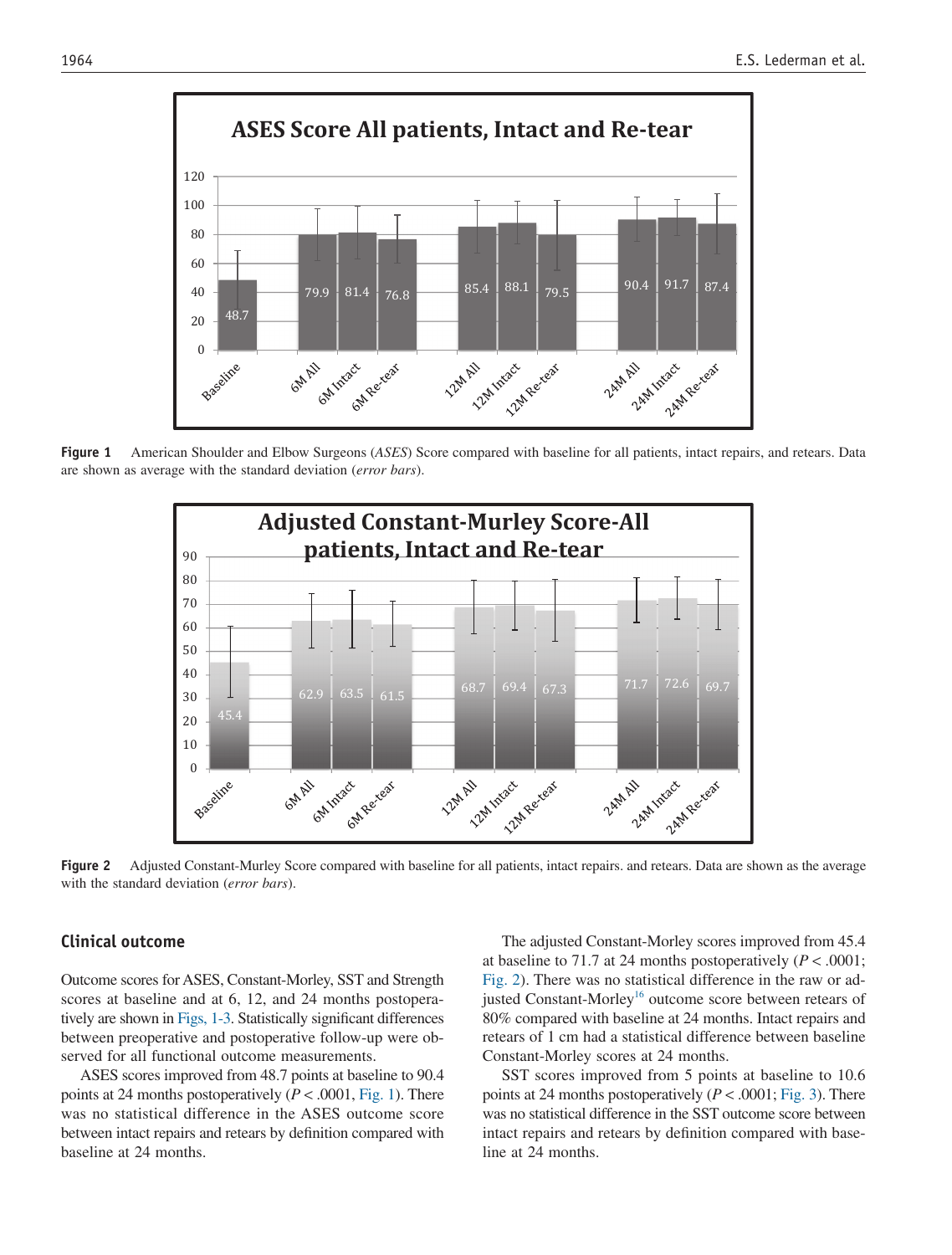

**Figure 1** American Shoulder and Elbow Surgeons (*ASES*) Score compared with baseline for all patients, intact repairs, and retears. Data are shown as average with the standard deviation (*error bars*).



**Figure 2** Adjusted Constant-Murley Score compared with baseline for all patients, intact repairs. and retears. Data are shown as the average with the standard deviation (*error bars*).

### **Clinical outcome**

Outcome scores for ASES, Constant-Morley, SST and Strength scores at baseline and at 6, 12, and 24 months postoperatively are shown in Figs, 1-3. Statistically significant differences between preoperative and postoperative follow-up were observed for all functional outcome measurements.

ASES scores improved from 48.7 points at baseline to 90.4 points at 24 months postoperatively (*P* < .0001, Fig. 1). There was no statistical difference in the ASES outcome score between intact repairs and retears by definition compared with baseline at 24 months.

The adjusted Constant-Morley scores improved from 45.4 at baseline to 71.7 at 24 months postoperatively  $(P < .0001)$ ; Fig. 2). There was no statistical difference in the raw or adjusted Constant-Morley<sup>16</sup> outcome score between retears of 80% compared with baseline at 24 months. Intact repairs and retears of 1 cm had a statistical difference between baseline Constant-Morley scores at 24 months.

SST scores improved from 5 points at baseline to 10.6 points at 24 months postoperatively  $(P < .0001; Fig. 3)$ . There was no statistical difference in the SST outcome score between intact repairs and retears by definition compared with baseline at 24 months.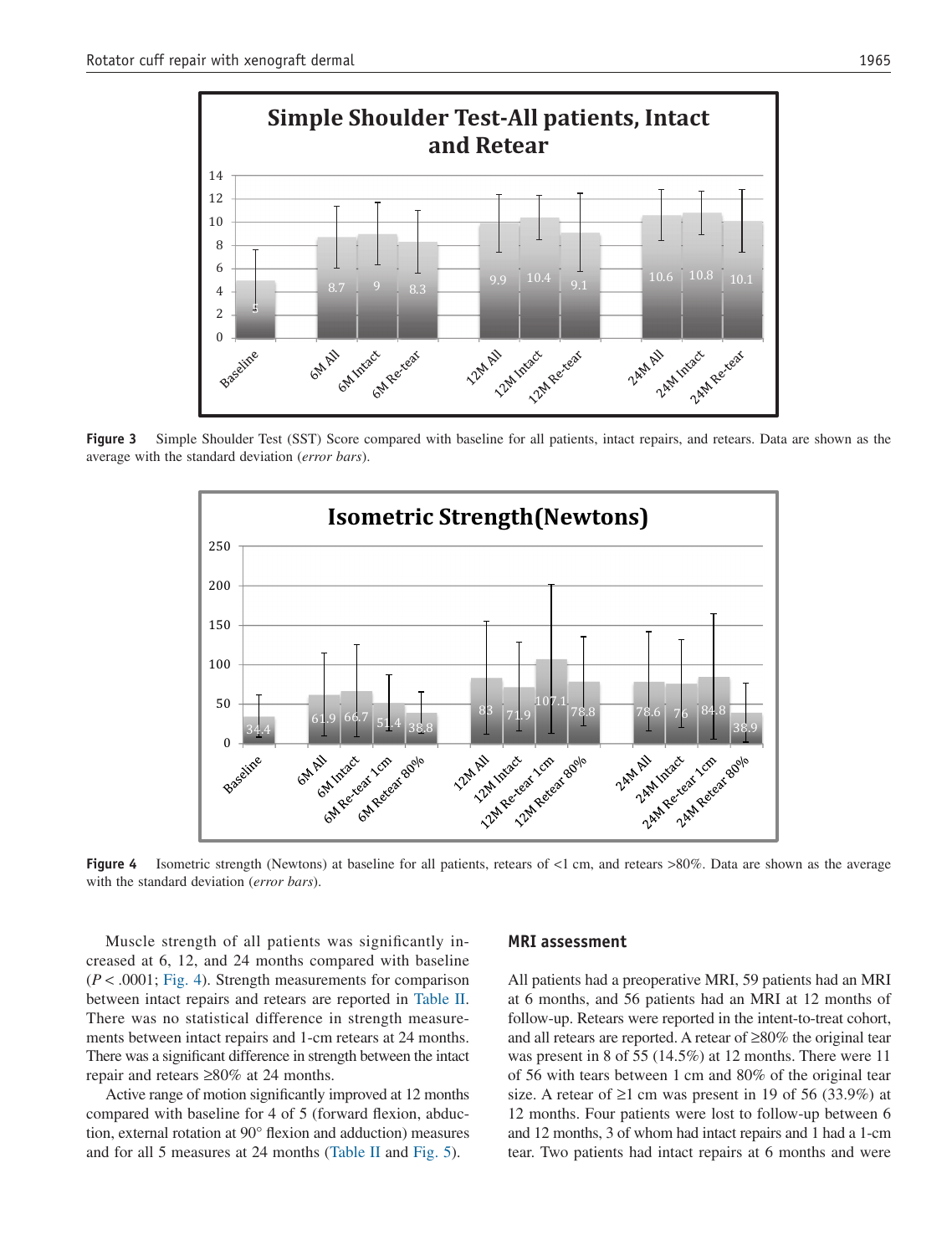

**Figure 3** Simple Shoulder Test (SST) Score compared with baseline for all patients, intact repairs, and retears. Data are shown as the average with the standard deviation (*error bars*).



**Figure 4** Isometric strength (Newtons) at baseline for all patients, retears of <1 cm, and retears >80%. Data are shown as the average with the standard deviation (*error bars*).

Muscle strength of all patients was significantly increased at 6, 12, and 24 months compared with baseline (*P* < .0001; Fig. 4). Strength measurements for comparison between intact repairs and retears are reported in Table II. There was no statistical difference in strength measurements between intact repairs and 1-cm retears at 24 months. There was a significant difference in strength between the intact repair and retears ≥80% at 24 months.

Active range of motion significantly improved at 12 months compared with baseline for 4 of 5 (forward flexion, abduction, external rotation at 90° flexion and adduction) measures and for all 5 measures at 24 months (Table II and Fig. 5).

#### **MRI assessment**

All patients had a preoperative MRI, 59 patients had an MRI at 6 months, and 56 patients had an MRI at 12 months of follow-up. Retears were reported in the intent-to-treat cohort, and all retears are reported. A retear of ≥80% the original tear was present in 8 of 55 (14.5%) at 12 months. There were 11 of 56 with tears between 1 cm and 80% of the original tear size. A retear of  $\geq 1$  cm was present in 19 of 56 (33.9%) at 12 months. Four patients were lost to follow-up between 6 and 12 months, 3 of whom had intact repairs and 1 had a 1-cm tear. Two patients had intact repairs at 6 months and were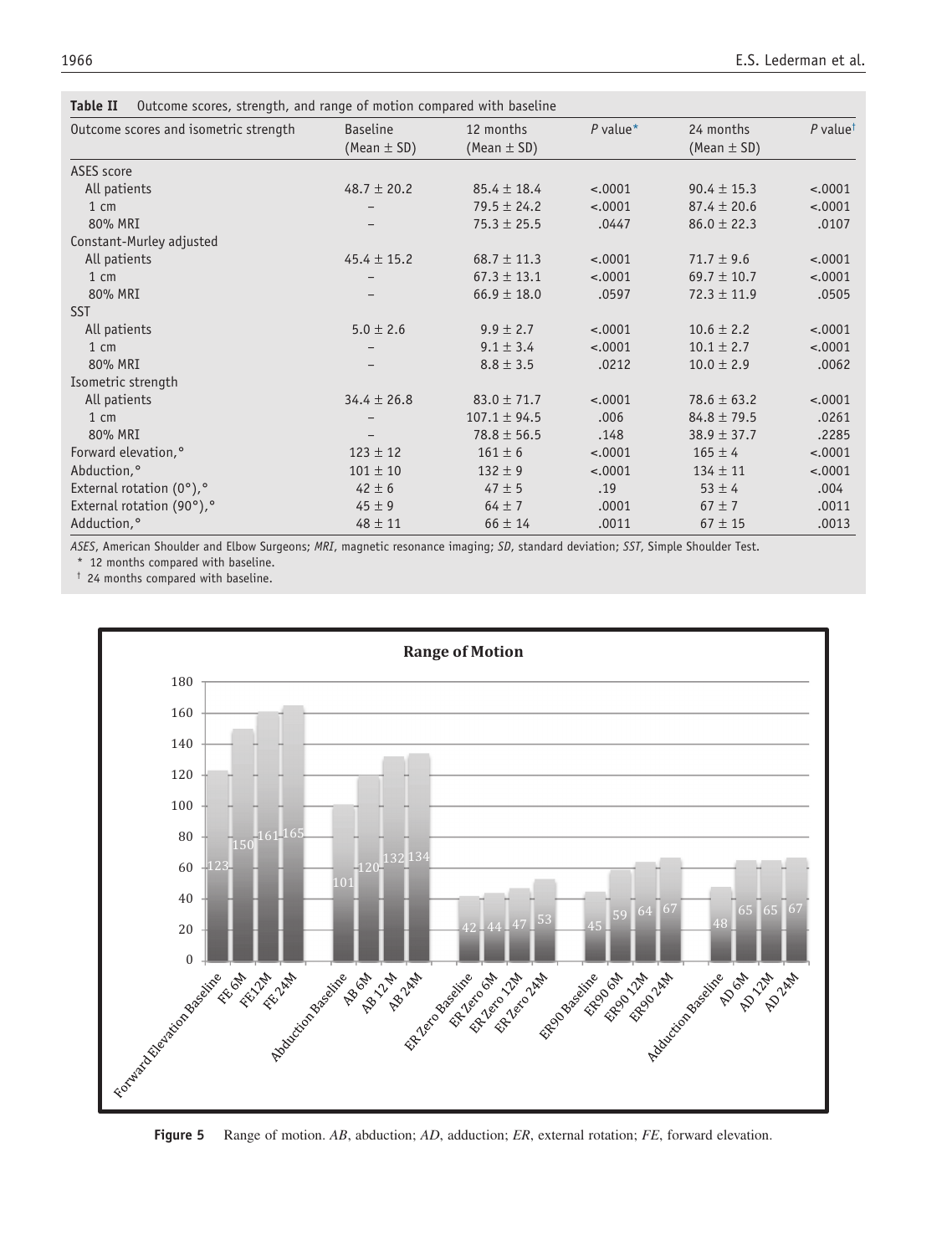|  |  |  | Table II Outcome scores, strength, and range of motion compared with baseline |  |  |
|--|--|--|-------------------------------------------------------------------------------|--|--|
|--|--|--|-------------------------------------------------------------------------------|--|--|

| Outcome scores and isometric strength        | <b>Baseline</b><br>(Mean $\pm$ SD) | 12 months<br>(Mean $\pm$ SD) | $P$ value* | 24 months<br>(Mean $\pm$ SD) | P value <sup><math>\dagger</math></sup> |
|----------------------------------------------|------------------------------------|------------------------------|------------|------------------------------|-----------------------------------------|
| <b>ASES</b> score                            |                                    |                              |            |                              |                                         |
| All patients                                 | 48.7 $\pm$ 20.2                    | $85.4 \pm 18.4$              | $-.0001$   | $90.4 \pm 15.3$              | $-.0001$                                |
| $1 \text{ cm}$                               |                                    | $79.5 \pm 24.2$              | $-.0001$   | $87.4 \pm 20.6$              | $-.0001$                                |
| 80% MRI                                      |                                    | $75.3 \pm 25.5$              | .0447      | $86.0 \pm 22.3$              | .0107                                   |
| Constant-Murley adjusted                     |                                    |                              |            |                              |                                         |
| All patients                                 | 45.4 $\pm$ 15.2                    | $68.7 \pm 11.3$              | $-.0001$   | $71.7 \pm 9.6$               | $-.0001$                                |
| $1 \text{ cm}$                               |                                    | $67.3 \pm 13.1$              | $-.0001$   | $69.7 \pm 10.7$              | $-.0001$                                |
| 80% MRI                                      | $\qquad \qquad -$                  | $66.9 \pm 18.0$              | .0597      | $72.3 \pm 11.9$              | .0505                                   |
| <b>SST</b>                                   |                                    |                              |            |                              |                                         |
| All patients                                 | $5.0 \pm 2.6$                      | $9.9 \pm 2.7$                | $-.0001$   | $10.6 \pm 2.2$               | $-.0001$                                |
| $1 \text{ cm}$                               |                                    | $9.1 \pm 3.4$                | $-.0001$   | $10.1 \pm 2.7$               | $-.0001$                                |
| 80% MRI                                      |                                    | $8.8 \pm 3.5$                | .0212      | $10.0 \pm 2.9$               | .0062                                   |
| Isometric strength                           |                                    |                              |            |                              |                                         |
| All patients                                 | $34.4 \pm 26.8$                    | $83.0 \pm 71.7$              | $-.0001$   | $78.6 \pm 63.2$              | $-.0001$                                |
| $1 \text{ cm}$                               |                                    | $107.1 \pm 94.5$             | .006       | $84.8 \pm 79.5$              | .0261                                   |
| 80% MRI                                      |                                    | $78.8 \pm 56.5$              | .148       | $38.9 \pm 37.7$              | .2285                                   |
| Forward elevation, <sup>o</sup>              | $123 \pm 12$                       | $161 \pm 6$                  | $-.0001$   | $165 \pm 4$                  | $-.0001$                                |
| Abduction,°                                  | $101 \pm 10$                       | $132 \pm 9$                  | $-.0001$   | $134 \pm 11$                 | $-.0001$                                |
| External rotation $(0^{\circ})$ , $^{\circ}$ | $42 \pm 6$                         | $47 \pm 5$                   | .19        | $53 \pm 4$                   | .004                                    |
| External rotation (90°),°                    | $45 \pm 9$                         | $64 \pm 7$                   | .0001      | $67 \pm 7$                   | .0011                                   |
| Adduction, <sup>o</sup>                      | $48 \pm 11$                        | $66 \pm 14$                  | .0011      | $67 \pm 15$                  | .0013                                   |

*ASES*, American Shoulder and Elbow Surgeons; *MRI*, magnetic resonance imaging; *SD*, standard deviation; *SST*, Simple Shoulder Test. \* 12 months compared with baseline.

† 24 months compared with baseline.



**Figure 5** Range of motion. *AB*, abduction; *AD*, adduction; *ER*, external rotation; *FE*, forward elevation.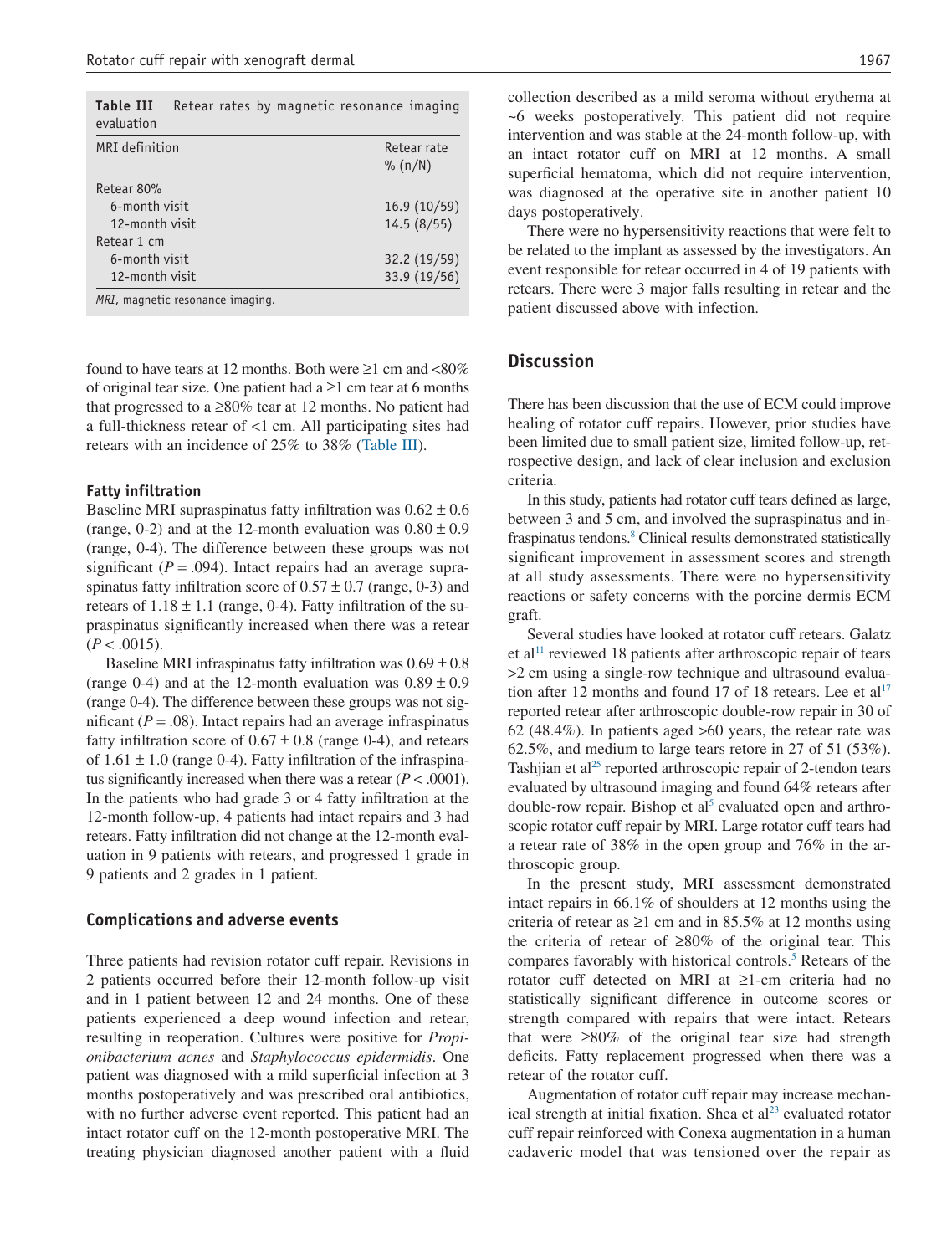| <b>Table III</b><br>evaluation |                                  | Retear rates by magnetic resonance imaging |
|--------------------------------|----------------------------------|--------------------------------------------|
| MRI definition                 | Retear rate                      |                                            |
|                                |                                  | $\%$ (n/N)                                 |
| Retear 80%                     |                                  |                                            |
| 6-month visit                  | 16.9(10/59)                      |                                            |
| 12-month visit                 | 14.5(8/55)                       |                                            |
| Retear 1 cm                    |                                  |                                            |
| 6-month visit                  | 32.2(19/59)                      |                                            |
| 12-month visit                 |                                  | 33.9 (19/56)                               |
|                                | MRI, magnetic resonance imaging. |                                            |

found to have tears at 12 months. Both were  $\geq 1$  cm and <80% of original tear size. One patient had a  $\geq 1$  cm tear at 6 months that progressed to a  $\geq$ 80% tear at 12 months. No patient had a full-thickness retear of <1 cm. All participating sites had retears with an incidence of 25% to 38% (Table III).

#### **Fatty infiltration**

Baseline MRI supraspinatus fatty infiltration was  $0.62 \pm 0.6$ (range, 0-2) and at the 12-month evaluation was  $0.80 \pm 0.9$ (range, 0-4). The difference between these groups was not significant  $(P = .094)$ . Intact repairs had an average supraspinatus fatty infiltration score of  $0.57 \pm 0.7$  (range, 0-3) and retears of  $1.18 \pm 1.1$  (range, 0-4). Fatty infiltration of the supraspinatus significantly increased when there was a retear  $(P < .0015)$ .

Baseline MRI infraspinatus fatty infiltration was  $0.69 \pm 0.8$ (range 0-4) and at the 12-month evaluation was  $0.89 \pm 0.9$ (range 0-4). The difference between these groups was not significant  $(P = .08)$ . Intact repairs had an average infraspinatus fatty infiltration score of  $0.67 \pm 0.8$  (range 0-4), and retears of  $1.61 \pm 1.0$  (range 0-4). Fatty infiltration of the infraspinatus significantly increased when there was a retear  $(P < .0001)$ . In the patients who had grade 3 or 4 fatty infiltration at the 12-month follow-up, 4 patients had intact repairs and 3 had retears. Fatty infiltration did not change at the 12-month evaluation in 9 patients with retears, and progressed 1 grade in 9 patients and 2 grades in 1 patient.

#### **Complications and adverse events**

Three patients had revision rotator cuff repair. Revisions in 2 patients occurred before their 12-month follow-up visit and in 1 patient between 12 and 24 months. One of these patients experienced a deep wound infection and retear, resulting in reoperation. Cultures were positive for *Propionibacterium acnes* and *Staphylococcus epidermidis*. One patient was diagnosed with a mild superficial infection at 3 months postoperatively and was prescribed oral antibiotics, with no further adverse event reported. This patient had an intact rotator cuff on the 12-month postoperative MRI. The treating physician diagnosed another patient with a fluid

collection described as a mild seroma without erythema at ~6 weeks postoperatively. This patient did not require intervention and was stable at the 24-month follow-up, with an intact rotator cuff on MRI at 12 months. A small superficial hematoma, which did not require intervention, was diagnosed at the operative site in another patient 10 days postoperatively.

There were no hypersensitivity reactions that were felt to be related to the implant as assessed by the investigators. An event responsible for retear occurred in 4 of 19 patients with retears. There were 3 major falls resulting in retear and the patient discussed above with infection.

# **Discussion**

There has been discussion that the use of ECM could improve healing of rotator cuff repairs. However, prior studies have been limited due to small patient size, limited follow-up, retrospective design, and lack of clear inclusion and exclusion criteria.

In this study, patients had rotator cuff tears defined as large, between 3 and 5 cm, and involved the supraspinatus and infraspinatus tendons.<sup>8</sup> Clinical results demonstrated statistically significant improvement in assessment scores and strength at all study assessments. There were no hypersensitivity reactions or safety concerns with the porcine dermis ECM graft.

Several studies have looked at rotator cuff retears. Galatz et al<sup>11</sup> reviewed 18 patients after arthroscopic repair of tears >2 cm using a single-row technique and ultrasound evaluation after 12 months and found 17 of 18 retears. Lee et  $al<sup>17</sup>$ reported retear after arthroscopic double-row repair in 30 of 62 (48.4%). In patients aged >60 years, the retear rate was 62.5%, and medium to large tears retore in 27 of 51 (53%). Tashijan et al<sup>25</sup> reported arthroscopic repair of 2-tendon tears evaluated by ultrasound imaging and found 64% retears after double-row repair. Bishop et al<sup>5</sup> evaluated open and arthroscopic rotator cuff repair by MRI. Large rotator cuff tears had a retear rate of 38% in the open group and 76% in the arthroscopic group.

In the present study, MRI assessment demonstrated intact repairs in 66.1% of shoulders at 12 months using the criteria of retear as  $\geq 1$  cm and in 85.5% at 12 months using the criteria of retear of ≥80% of the original tear. This compares favorably with historical controls.5 Retears of the rotator cuff detected on MRI at ≥1-cm criteria had no statistically significant difference in outcome scores or strength compared with repairs that were intact. Retears that were  $\geq 80\%$  of the original tear size had strength deficits. Fatty replacement progressed when there was a retear of the rotator cuff.

Augmentation of rotator cuff repair may increase mechanical strength at initial fixation. Shea et  $al<sup>23</sup>$  evaluated rotator cuff repair reinforced with Conexa augmentation in a human cadaveric model that was tensioned over the repair as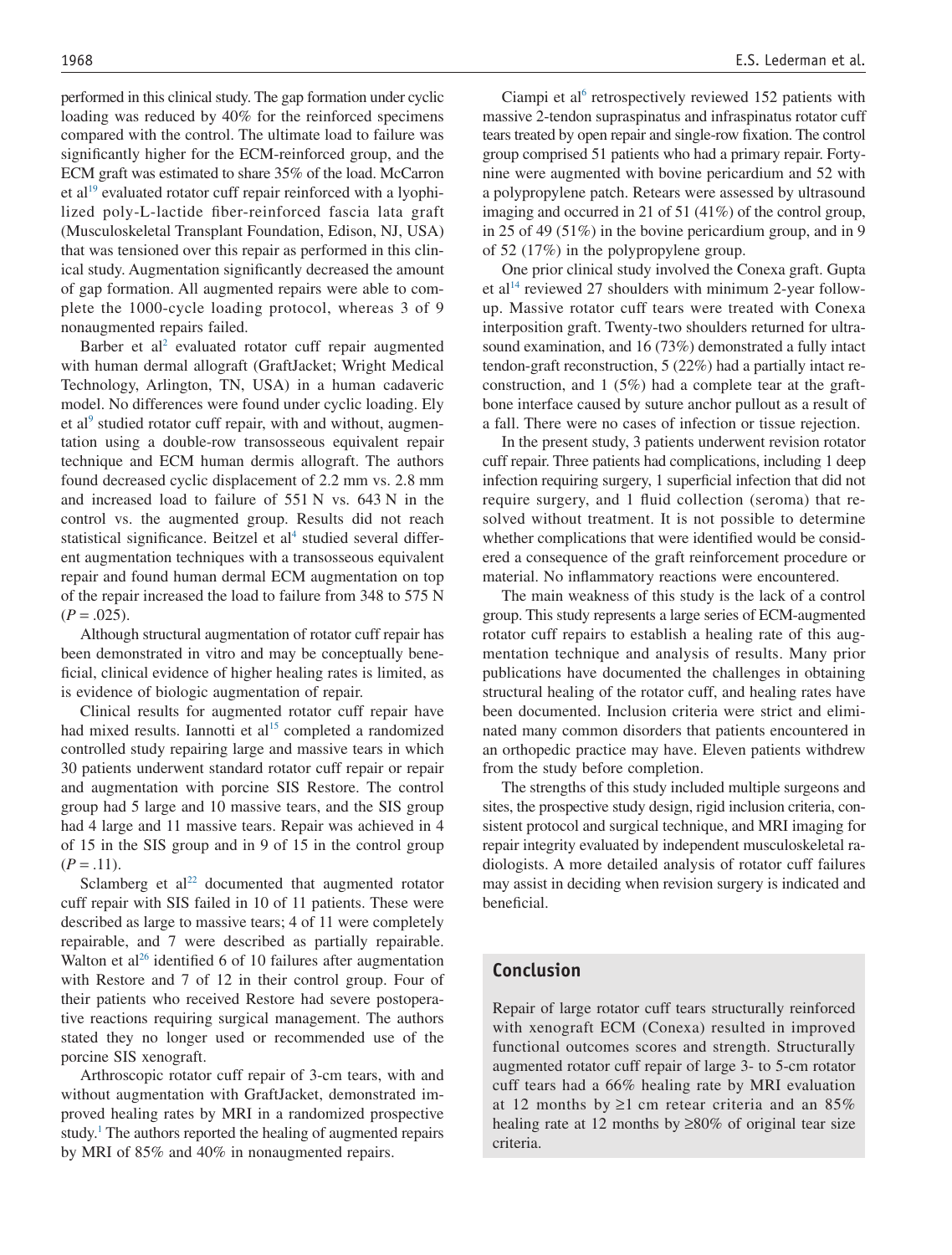performed in this clinical study. The gap formation under cyclic loading was reduced by 40% for the reinforced specimens compared with the control. The ultimate load to failure was significantly higher for the ECM-reinforced group, and the ECM graft was estimated to share 35% of the load. McCarron et al<sup>19</sup> evaluated rotator cuff repair reinforced with a lyophilized poly-L-lactide fiber-reinforced fascia lata graft (Musculoskeletal Transplant Foundation, Edison, NJ, USA) that was tensioned over this repair as performed in this clinical study. Augmentation significantly decreased the amount of gap formation. All augmented repairs were able to complete the 1000-cycle loading protocol, whereas 3 of 9 nonaugmented repairs failed.

Barber et al<sup>2</sup> evaluated rotator cuff repair augmented with human dermal allograft (GraftJacket; Wright Medical Technology, Arlington, TN, USA) in a human cadaveric model. No differences were found under cyclic loading. Ely et al<sup>9</sup> studied rotator cuff repair, with and without, augmentation using a double-row transosseous equivalent repair technique and ECM human dermis allograft. The authors found decreased cyclic displacement of 2.2 mm vs. 2.8 mm and increased load to failure of 551 N vs. 643 N in the control vs. the augmented group. Results did not reach statistical significance. Beitzel et al<sup>4</sup> studied several different augmentation techniques with a transosseous equivalent repair and found human dermal ECM augmentation on top of the repair increased the load to failure from 348 to 575 N  $(P=.025)$ .

Although structural augmentation of rotator cuff repair has been demonstrated in vitro and may be conceptually beneficial, clinical evidence of higher healing rates is limited, as is evidence of biologic augmentation of repair.

Clinical results for augmented rotator cuff repair have had mixed results. Iannotti et al<sup>15</sup> completed a randomized controlled study repairing large and massive tears in which 30 patients underwent standard rotator cuff repair or repair and augmentation with porcine SIS Restore. The control group had 5 large and 10 massive tears, and the SIS group had 4 large and 11 massive tears. Repair was achieved in 4 of 15 in the SIS group and in 9 of 15 in the control group  $(P=.11)$ .

Sclamberg et  $al<sup>22</sup>$  documented that augmented rotator cuff repair with SIS failed in 10 of 11 patients. These were described as large to massive tears; 4 of 11 were completely repairable, and 7 were described as partially repairable. Walton et al<sup>26</sup> identified 6 of 10 failures after augmentation with Restore and 7 of 12 in their control group. Four of their patients who received Restore had severe postoperative reactions requiring surgical management. The authors stated they no longer used or recommended use of the porcine SIS xenograft.

Arthroscopic rotator cuff repair of 3-cm tears, with and without augmentation with GraftJacket, demonstrated improved healing rates by MRI in a randomized prospective study.<sup>1</sup> The authors reported the healing of augmented repairs by MRI of 85% and 40% in nonaugmented repairs.

Ciampi et al<sup>6</sup> retrospectively reviewed 152 patients with massive 2-tendon supraspinatus and infraspinatus rotator cuff tears treated by open repair and single-row fixation. The control group comprised 51 patients who had a primary repair. Fortynine were augmented with bovine pericardium and 52 with a polypropylene patch. Retears were assessed by ultrasound imaging and occurred in 21 of 51 (41%) of the control group, in 25 of 49 (51%) in the bovine pericardium group, and in 9 of 52 (17%) in the polypropylene group.

One prior clinical study involved the Conexa graft. Gupta et al<sup>14</sup> reviewed 27 shoulders with minimum 2-year followup. Massive rotator cuff tears were treated with Conexa interposition graft. Twenty-two shoulders returned for ultrasound examination, and 16 (73%) demonstrated a fully intact tendon-graft reconstruction, 5 (22%) had a partially intact reconstruction, and 1 (5%) had a complete tear at the graftbone interface caused by suture anchor pullout as a result of a fall. There were no cases of infection or tissue rejection.

In the present study, 3 patients underwent revision rotator cuff repair. Three patients had complications, including 1 deep infection requiring surgery, 1 superficial infection that did not require surgery, and 1 fluid collection (seroma) that resolved without treatment. It is not possible to determine whether complications that were identified would be considered a consequence of the graft reinforcement procedure or material. No inflammatory reactions were encountered.

The main weakness of this study is the lack of a control group. This study represents a large series of ECM-augmented rotator cuff repairs to establish a healing rate of this augmentation technique and analysis of results. Many prior publications have documented the challenges in obtaining structural healing of the rotator cuff, and healing rates have been documented. Inclusion criteria were strict and eliminated many common disorders that patients encountered in an orthopedic practice may have. Eleven patients withdrew from the study before completion.

The strengths of this study included multiple surgeons and sites, the prospective study design, rigid inclusion criteria, consistent protocol and surgical technique, and MRI imaging for repair integrity evaluated by independent musculoskeletal radiologists. A more detailed analysis of rotator cuff failures may assist in deciding when revision surgery is indicated and beneficial.

#### **Conclusion**

Repair of large rotator cuff tears structurally reinforced with xenograft ECM (Conexa) resulted in improved functional outcomes scores and strength. Structurally augmented rotator cuff repair of large 3- to 5-cm rotator cuff tears had a 66% healing rate by MRI evaluation at 12 months by  $\geq 1$  cm retear criteria and an 85% healing rate at 12 months by  $\geq 80\%$  of original tear size criteria.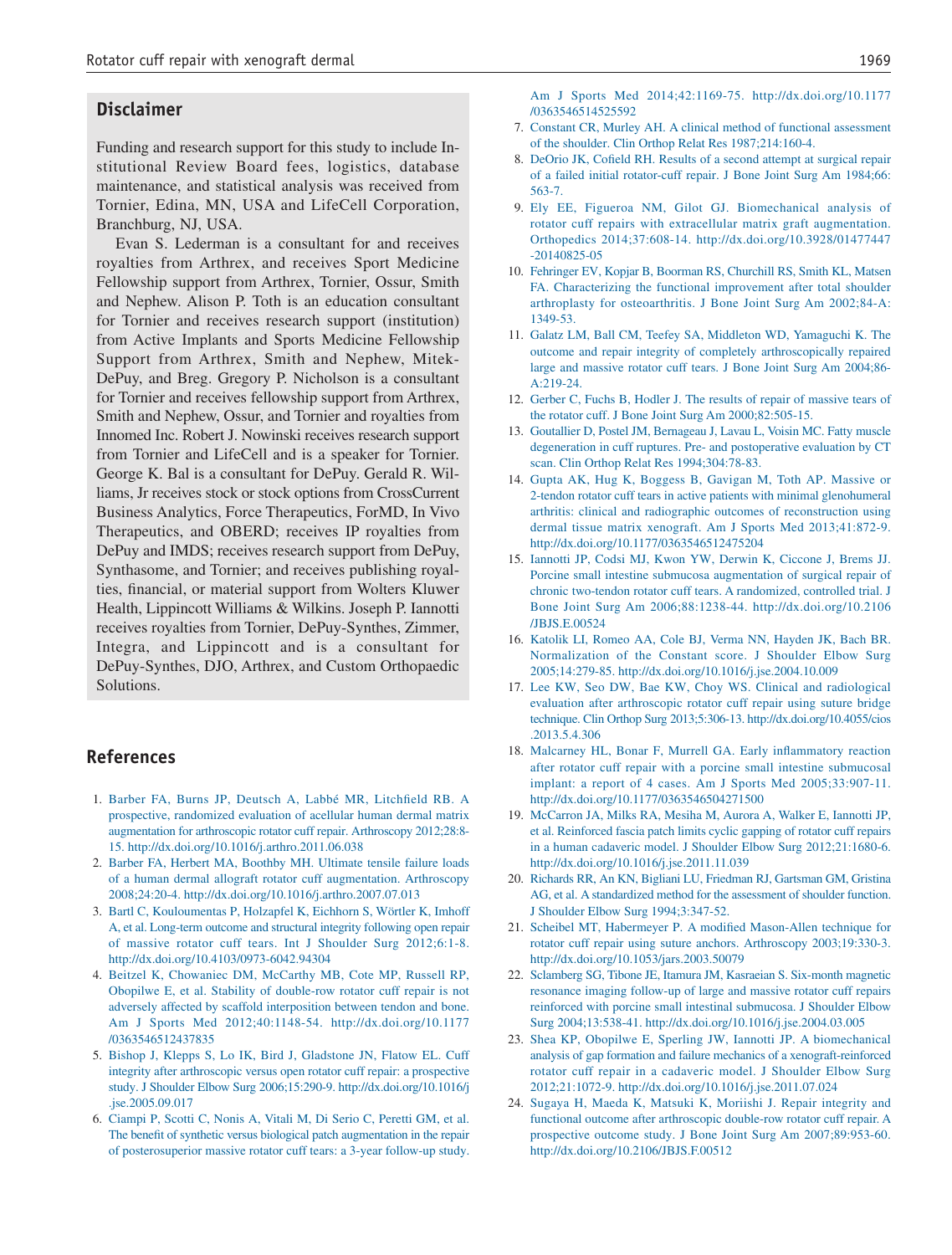#### **Disclaimer**

Funding and research support for this study to include Institutional Review Board fees, logistics, database maintenance, and statistical analysis was received from Tornier, Edina, MN, USA and LifeCell Corporation, Branchburg, NJ, USA.

Evan S. Lederman is a consultant for and receives royalties from Arthrex, and receives Sport Medicine Fellowship support from Arthrex, Tornier, Ossur, Smith and Nephew. Alison P. Toth is an education consultant for Tornier and receives research support (institution) from Active Implants and Sports Medicine Fellowship Support from Arthrex, Smith and Nephew, Mitek-DePuy, and Breg. Gregory P. Nicholson is a consultant for Tornier and receives fellowship support from Arthrex, Smith and Nephew, Ossur, and Tornier and royalties from Innomed Inc. Robert J. Nowinski receives research support from Tornier and LifeCell and is a speaker for Tornier. George K. Bal is a consultant for DePuy. Gerald R. Williams, Jr receives stock or stock options from CrossCurrent Business Analytics, Force Therapeutics, ForMD, In Vivo Therapeutics, and OBERD; receives IP royalties from DePuy and IMDS; receives research support from DePuy, Synthasome, and Tornier; and receives publishing royalties, financial, or material support from Wolters Kluwer Health, Lippincott Williams & Wilkins. Joseph P. Iannotti receives royalties from Tornier, DePuy-Synthes, Zimmer, Integra, and Lippincott and is a consultant for DePuy-Synthes, DJO, Arthrex, and Custom Orthopaedic Solutions.

# **References**

- 1. Barber FA, Burns JP, Deutsch A, Labbé MR, Litchfield RB. A prospective, randomized evaluation of acellular human dermal matrix augmentation for arthroscopic rotator cuff repair. Arthroscopy 2012;28:8- 15. http://dx.doi.org/10.1016/j.arthro.2011.06.038
- 2. Barber FA, Herbert MA, Boothby MH. Ultimate tensile failure loads of a human dermal allograft rotator cuff augmentation. Arthroscopy 2008;24:20-4. http://dx.doi.org/10.1016/j.arthro.2007.07.013
- 3. Bartl C, Kouloumentas P, Holzapfel K, Eichhorn S, Wörtler K, Imhoff A, et al. Long-term outcome and structural integrity following open repair of massive rotator cuff tears. Int J Shoulder Surg 2012;6:1-8. http://dx.doi.org/10.4103/0973-6042.94304
- 4. Beitzel K, Chowaniec DM, McCarthy MB, Cote MP, Russell RP, Obopilwe E, et al. Stability of double-row rotator cuff repair is not adversely affected by scaffold interposition between tendon and bone. Am J Sports Med 2012;40:1148-54. http://dx.doi.org/10.1177 /0363546512437835
- 5. Bishop J, Klepps S, Lo IK, Bird J, Gladstone JN, Flatow EL. Cuff integrity after arthroscopic versus open rotator cuff repair: a prospective study. J Shoulder Elbow Surg 2006;15:290-9. http://dx.doi.org/10.1016/j .jse.2005.09.017
- 6. Ciampi P, Scotti C, Nonis A, Vitali M, Di Serio C, Peretti GM, et al. The benefit of synthetic versus biological patch augmentation in the repair of posterosuperior massive rotator cuff tears: a 3-year follow-up study.
- 7. Constant CR, Murley AH. A clinical method of functional assessment of the shoulder. Clin Orthop Relat Res 1987;214:160-4.
- 8. DeOrio JK, Cofield RH. Results of a second attempt at surgical repair of a failed initial rotator-cuff repair. J Bone Joint Surg Am 1984;66: 563-7.
- 9. Ely EE, Figueroa NM, Gilot GJ. Biomechanical analysis of rotator cuff repairs with extracellular matrix graft augmentation. Orthopedics 2014;37:608-14. http://dx.doi.org/10.3928/01477447 -20140825-05
- 10. Fehringer EV, Kopjar B, Boorman RS, Churchill RS, Smith KL, Matsen FA. Characterizing the functional improvement after total shoulder arthroplasty for osteoarthritis. J Bone Joint Surg Am 2002;84-A: 1349-53.
- 11. Galatz LM, Ball CM, Teefey SA, Middleton WD, Yamaguchi K. The outcome and repair integrity of completely arthroscopically repaired large and massive rotator cuff tears. J Bone Joint Surg Am 2004;86- A:219-24.
- 12. Gerber C, Fuchs B, Hodler J. The results of repair of massive tears of the rotator cuff. J Bone Joint Surg Am 2000;82:505-15.
- 13. Goutallier D, Postel JM, Bernageau J, Lavau L, Voisin MC. Fatty muscle degeneration in cuff ruptures. Pre- and postoperative evaluation by CT scan. Clin Orthop Relat Res 1994;304:78-83.
- 14. Gupta AK, Hug K, Boggess B, Gavigan M, Toth AP. Massive or 2-tendon rotator cuff tears in active patients with minimal glenohumeral arthritis: clinical and radiographic outcomes of reconstruction using dermal tissue matrix xenograft. Am J Sports Med 2013;41:872-9. http://dx.doi.org/10.1177/0363546512475204
- 15. Iannotti JP, Codsi MJ, Kwon YW, Derwin K, Ciccone J, Brems JJ. Porcine small intestine submucosa augmentation of surgical repair of chronic two-tendon rotator cuff tears. A randomized, controlled trial. J Bone Joint Surg Am 2006;88:1238-44. http://dx.doi.org/10.2106 /JBJS.E.00524
- 16. Katolik LI, Romeo AA, Cole BJ, Verma NN, Hayden JK, Bach BR. Normalization of the Constant score. J Shoulder Elbow Surg 2005;14:279-85. http://dx.doi.org/10.1016/j.jse.2004.10.009
- 17. Lee KW, Seo DW, Bae KW, Choy WS. Clinical and radiological evaluation after arthroscopic rotator cuff repair using suture bridge technique. Clin Orthop Surg 2013;5:306-13. http://dx.doi.org/10.4055/cios .2013.5.4.306
- 18. Malcarney HL, Bonar F, Murrell GA. Early inflammatory reaction after rotator cuff repair with a porcine small intestine submucosal implant: a report of 4 cases. Am J Sports Med 2005;33:907-11. http://dx.doi.org/10.1177/0363546504271500
- 19. McCarron JA, Milks RA, Mesiha M, Aurora A, Walker E, Iannotti JP, et al. Reinforced fascia patch limits cyclic gapping of rotator cuff repairs in a human cadaveric model. J Shoulder Elbow Surg 2012;21:1680-6. http://dx.doi.org/10.1016/j.jse.2011.11.039
- 20. Richards RR, An KN, Bigliani LU, Friedman RJ, Gartsman GM, Gristina AG, et al. A standardized method for the assessment of shoulder function. J Shoulder Elbow Surg 1994;3:347-52.
- 21. Scheibel MT, Habermeyer P. A modified Mason-Allen technique for rotator cuff repair using suture anchors. Arthroscopy 2003;19:330-3. http://dx.doi.org/10.1053/jars.2003.50079
- 22. Sclamberg SG, Tibone JE, Itamura JM, Kasraeian S. Six-month magnetic resonance imaging follow-up of large and massive rotator cuff repairs reinforced with porcine small intestinal submucosa. J Shoulder Elbow Surg 2004;13:538-41. http://dx.doi.org/10.1016/j.jse.2004.03.005
- 23. Shea KP, Obopilwe E, Sperling JW, Iannotti JP. A biomechanical analysis of gap formation and failure mechanics of a xenograft-reinforced rotator cuff repair in a cadaveric model. J Shoulder Elbow Surg 2012;21:1072-9. http://dx.doi.org/10.1016/j.jse.2011.07.024
- 24. Sugaya H, Maeda K, Matsuki K, Moriishi J. Repair integrity and functional outcome after arthroscopic double-row rotator cuff repair. A prospective outcome study. J Bone Joint Surg Am 2007;89:953-60. http://dx.doi.org/10.2106/JBJS.F.00512